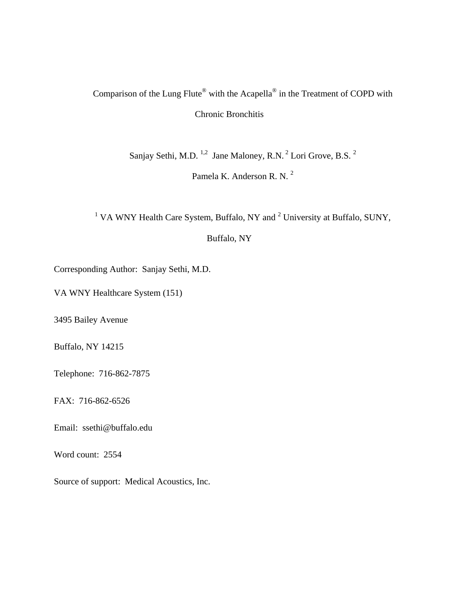## Comparison of the Lung Flute® with the Acapella® in the Treatment of COPD with Chronic Bronchitis

Sanjay Sethi, M.D.  $^{1,2}$  Jane Maloney, R.N.  $^{2}$  Lori Grove, B.S.  $^{2}$ 

Pamela K. Anderson R. N.<sup>2</sup>

<sup>1</sup> VA WNY Health Care System, Buffalo, NY and  $2$  University at Buffalo, SUNY,

## Buffalo, NY

Corresponding Author: Sanjay Sethi, M.D.

VA WNY Healthcare System (151)

3495 Bailey Avenue

Buffalo, NY 14215

Telephone: 716-862-7875

FAX: 716-862-6526

Email: ssethi@buffalo.edu

Word count: 2554

Source of support: Medical Acoustics, Inc.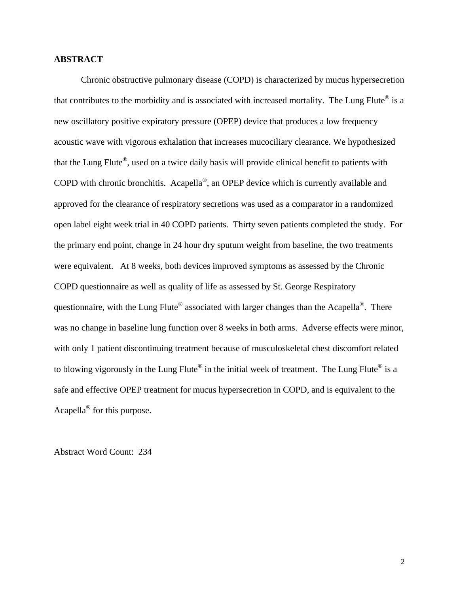## **ABSTRACT**

Chronic obstructive pulmonary disease (COPD) is characterized by mucus hypersecretion that contributes to the morbidity and is associated with increased mortality. The Lung Flute® is a new oscillatory positive expiratory pressure (OPEP) device that produces a low frequency acoustic wave with vigorous exhalation that increases mucociliary clearance. We hypothesized that the Lung Flute®, used on a twice daily basis will provide clinical benefit to patients with COPD with chronic bronchitis. Acapella®, an OPEP device which is currently available and approved for the clearance of respiratory secretions was used as a comparator in a randomized open label eight week trial in 40 COPD patients. Thirty seven patients completed the study. For the primary end point, change in 24 hour dry sputum weight from baseline, the two treatments were equivalent. At 8 weeks, both devices improved symptoms as assessed by the Chronic COPD questionnaire as well as quality of life as assessed by St. George Respiratory questionnaire, with the Lung Flute® associated with larger changes than the Acapella®. There was no change in baseline lung function over 8 weeks in both arms. Adverse effects were minor, with only 1 patient discontinuing treatment because of musculoskeletal chest discomfort related to blowing vigorously in the Lung Flute<sup>®</sup> in the initial week of treatment. The Lung Flute<sup>®</sup> is a safe and effective OPEP treatment for mucus hypersecretion in COPD, and is equivalent to the Acapella® for this purpose.

Abstract Word Count: 234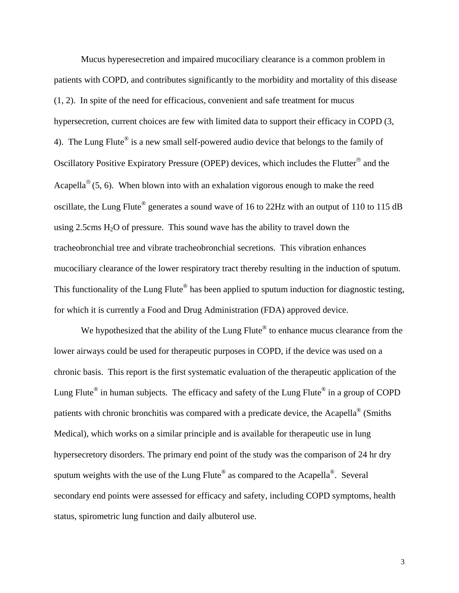Mucus hyperesecretion and impaired mucociliary clearance is a common problem in patients with COPD, and contributes significantly to the morbidity and mortality of this disease (1, 2). In spite of the need for efficacious, convenient and safe treatment for mucus hypersecretion, current choices are few with limited data to support their efficacy in COPD (3, 4). The Lung Flute<sup>®</sup> is a new small self-powered audio device that belongs to the family of Oscillatory Positive Expiratory Pressure (OPEP) devices, which includes the Flutter® and the Acapella<sup>®</sup> (5, 6). When blown into with an exhalation vigorous enough to make the reed oscillate, the Lung Flute® generates a sound wave of 16 to 22Hz with an output of 110 to 115 dB using 2.5cms  $H_2O$  of pressure. This sound wave has the ability to travel down the tracheobronchial tree and vibrate tracheobronchial secretions. This vibration enhances mucociliary clearance of the lower respiratory tract thereby resulting in the induction of sputum. This functionality of the Lung Flute<sup>®</sup> has been applied to sputum induction for diagnostic testing, for which it is currently a Food and Drug Administration (FDA) approved device.

We hypothesized that the ability of the Lung Flute<sup>®</sup> to enhance mucus clearance from the lower airways could be used for therapeutic purposes in COPD, if the device was used on a chronic basis. This report is the first systematic evaluation of the therapeutic application of the Lung Flute<sup>®</sup> in human subjects. The efficacy and safety of the Lung Flute<sup>®</sup> in a group of COPD patients with chronic bronchitis was compared with a predicate device, the Acapella® (Smiths Medical), which works on a similar principle and is available for therapeutic use in lung hypersecretory disorders. The primary end point of the study was the comparison of 24 hr dry sputum weights with the use of the Lung Flute<sup>®</sup> as compared to the Acapella<sup>®</sup>. Several secondary end points were assessed for efficacy and safety, including COPD symptoms, health status, spirometric lung function and daily albuterol use.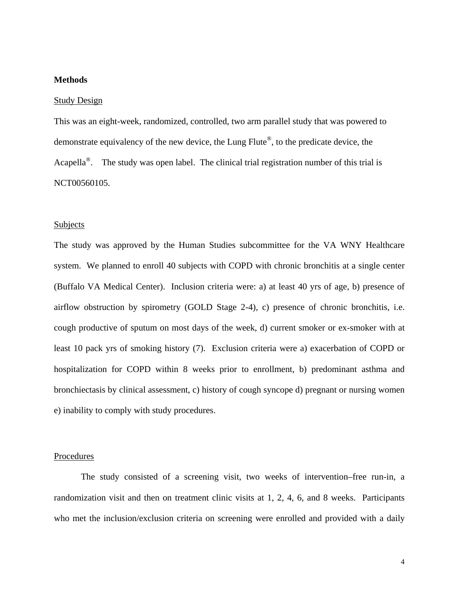## **Methods**

#### Study Design

This was an eight-week, randomized, controlled, two arm parallel study that was powered to demonstrate equivalency of the new device, the Lung Flute®, to the predicate device, the Acapella<sup>®</sup>. The study was open label. The clinical trial registration number of this trial is NCT00560105.

#### Subjects

The study was approved by the Human Studies subcommittee for the VA WNY Healthcare system. We planned to enroll 40 subjects with COPD with chronic bronchitis at a single center (Buffalo VA Medical Center). Inclusion criteria were: a) at least 40 yrs of age, b) presence of airflow obstruction by spirometry (GOLD Stage 2-4), c) presence of chronic bronchitis, i.e. cough productive of sputum on most days of the week, d) current smoker or ex-smoker with at least 10 pack yrs of smoking history (7). Exclusion criteria were a) exacerbation of COPD or hospitalization for COPD within 8 weeks prior to enrollment, b) predominant asthma and bronchiectasis by clinical assessment, c) history of cough syncope d) pregnant or nursing women e) inability to comply with study procedures.

### **Procedures**

The study consisted of a screening visit, two weeks of intervention–free run-in, a randomization visit and then on treatment clinic visits at 1, 2, 4, 6, and 8 weeks. Participants who met the inclusion/exclusion criteria on screening were enrolled and provided with a daily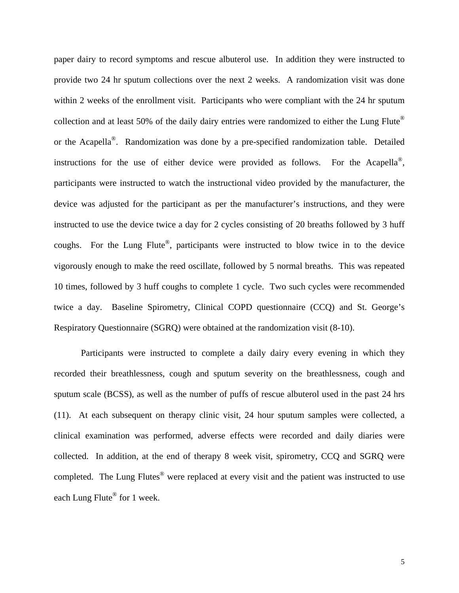paper dairy to record symptoms and rescue albuterol use. In addition they were instructed to provide two 24 hr sputum collections over the next 2 weeks. A randomization visit was done within 2 weeks of the enrollment visit. Participants who were compliant with the 24 hr sputum collection and at least 50% of the daily dairy entries were randomized to either the Lung Flute® or the Acapella®. Randomization was done by a pre-specified randomization table. Detailed instructions for the use of either device were provided as follows. For the Acapella®, participants were instructed to watch the instructional video provided by the manufacturer, the device was adjusted for the participant as per the manufacturer's instructions, and they were instructed to use the device twice a day for 2 cycles consisting of 20 breaths followed by 3 huff coughs. For the Lung Flute®, participants were instructed to blow twice in to the device vigorously enough to make the reed oscillate, followed by 5 normal breaths. This was repeated 10 times, followed by 3 huff coughs to complete 1 cycle. Two such cycles were recommended twice a day. Baseline Spirometry, Clinical COPD questionnaire (CCQ) and St. George's Respiratory Questionnaire (SGRQ) were obtained at the randomization visit (8-10).

Participants were instructed to complete a daily dairy every evening in which they recorded their breathlessness, cough and sputum severity on the breathlessness, cough and sputum scale (BCSS), as well as the number of puffs of rescue albuterol used in the past 24 hrs (11). At each subsequent on therapy clinic visit, 24 hour sputum samples were collected, a clinical examination was performed, adverse effects were recorded and daily diaries were collected. In addition, at the end of therapy 8 week visit, spirometry, CCQ and SGRQ were completed. The Lung Flutes<sup>®</sup> were replaced at every visit and the patient was instructed to use each Lung Flute® for 1 week.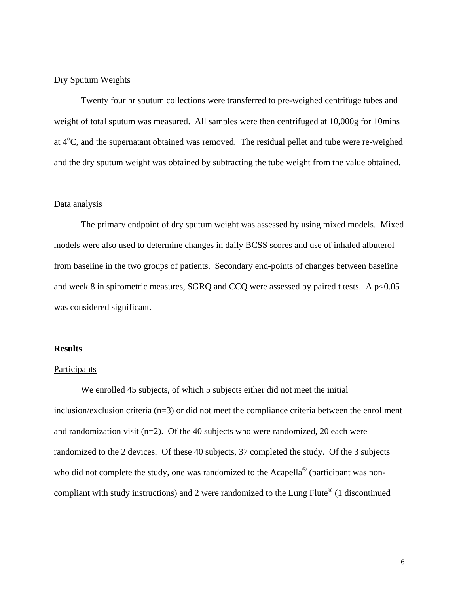## Dry Sputum Weights

Twenty four hr sputum collections were transferred to pre-weighed centrifuge tubes and weight of total sputum was measured. All samples were then centrifuged at 10,000g for 10mins at  $4^{\circ}$ C, and the supernatant obtained was removed. The residual pellet and tube were re-weighed and the dry sputum weight was obtained by subtracting the tube weight from the value obtained.

## Data analysis

 The primary endpoint of dry sputum weight was assessed by using mixed models. Mixed models were also used to determine changes in daily BCSS scores and use of inhaled albuterol from baseline in the two groups of patients. Secondary end-points of changes between baseline and week 8 in spirometric measures, SGRQ and CCQ were assessed by paired t tests. A  $p<0.05$ was considered significant.

## **Results**

#### **Participants**

 We enrolled 45 subjects, of which 5 subjects either did not meet the initial inclusion/exclusion criteria (n=3) or did not meet the compliance criteria between the enrollment and randomization visit (n=2). Of the 40 subjects who were randomized, 20 each were randomized to the 2 devices. Of these 40 subjects, 37 completed the study. Of the 3 subjects who did not complete the study, one was randomized to the Acapella<sup>®</sup> (participant was noncompliant with study instructions) and 2 were randomized to the Lung Flute<sup>®</sup> (1 discontinued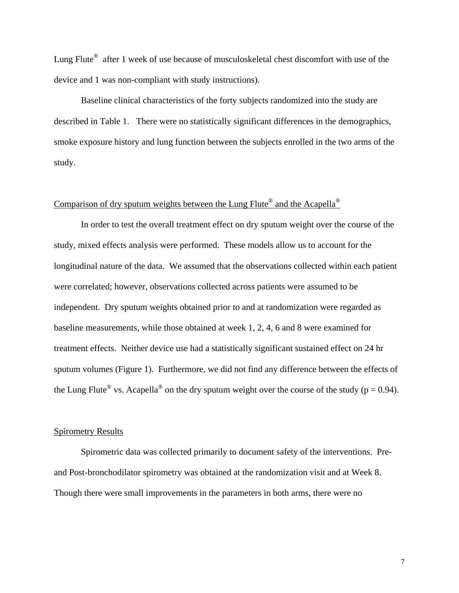Lung Flute® after 1 week of use because of musculoskeletal chest discomfort with use of the device and 1 was non-compliant with study instructions).

Baseline clinical characteristics of the forty subjects randomized into the study are described in Table 1. There were no statistically significant differences in the demographics, smoke exposure history and lung function between the subjects enrolled in the two arms of the study.

## Comparison of dry sputum weights between the Lung Flute<sup>®</sup> and the Acapella<sup>®</sup>

 In order to test the overall treatment effect on dry sputum weight over the course of the study, mixed effects analysis were performed. These models allow us to account for the longitudinal nature of the data. We assumed that the observations collected within each patient were correlated; however, observations collected across patients were assumed to be independent. Dry sputum weights obtained prior to and at randomization were regarded as baseline measurements, while those obtained at week 1, 2, 4, 6 and 8 were examined for treatment effects. Neither device use had a statistically significant sustained effect on 24 hr sputum volumes (Figure 1). Furthermore, we did not find any difference between the effects of the Lung Flute<sup>®</sup> vs. Acapella<sup>®</sup> on the dry sputum weight over the course of the study ( $p = 0.94$ ).

## Spirometry Results

Spirometric data was collected primarily to document safety of the interventions. Preand Post-bronchodilator spirometry was obtained at the randomization visit and at Week 8. Though there were small improvements in the parameters in both arms, there were no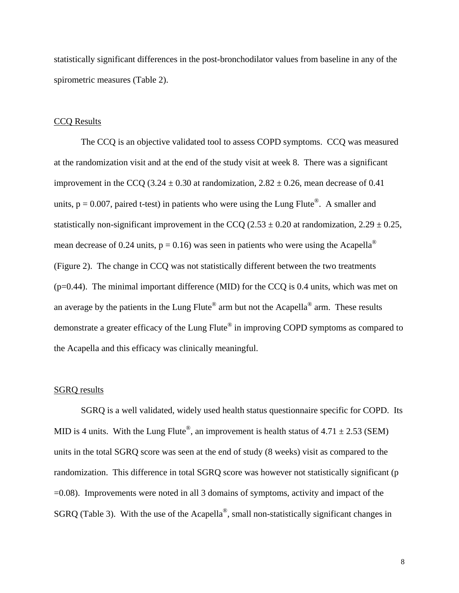statistically significant differences in the post-bronchodilator values from baseline in any of the spirometric measures (Table 2).

## CCQ Results

The CCQ is an objective validated tool to assess COPD symptoms. CCQ was measured at the randomization visit and at the end of the study visit at week 8. There was a significant improvement in the CCQ (3.24  $\pm$  0.30 at randomization, 2.82  $\pm$  0.26, mean decrease of 0.41 units,  $p = 0.007$ , paired t-test) in patients who were using the Lung Flute<sup>®</sup>. A smaller and statistically non-significant improvement in the CCQ (2.53  $\pm$  0.20 at randomization, 2.29  $\pm$  0.25, mean decrease of 0.24 units,  $p = 0.16$ ) was seen in patients who were using the Acapella<sup>®</sup> (Figure 2). The change in CCQ was not statistically different between the two treatments  $(p=0.44)$ . The minimal important difference (MID) for the CCQ is 0.4 units, which was met on an average by the patients in the Lung Flute<sup>®</sup> arm but not the Acapella<sup>®</sup> arm. These results demonstrate a greater efficacy of the Lung Flute® in improving COPD symptoms as compared to the Acapella and this efficacy was clinically meaningful.

## SGRQ results

 SGRQ is a well validated, widely used health status questionnaire specific for COPD. Its MID is 4 units. With the Lung Flute<sup>®</sup>, an improvement is health status of  $4.71 \pm 2.53$  (SEM) units in the total SGRQ score was seen at the end of study (8 weeks) visit as compared to the randomization. This difference in total SGRQ score was however not statistically significant (p =0.08). Improvements were noted in all 3 domains of symptoms, activity and impact of the SGRQ (Table 3). With the use of the Acapella®, small non-statistically significant changes in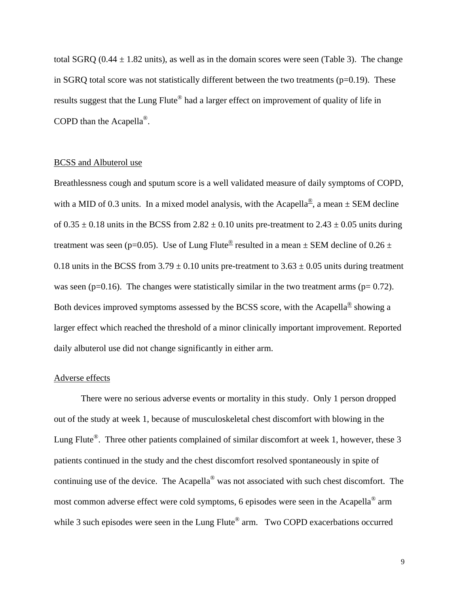total SGRQ (0.44  $\pm$  1.82 units), as well as in the domain scores were seen (Table 3). The change in SGRQ total score was not statistically different between the two treatments ( $p=0.19$ ). These results suggest that the Lung Flute<sup>®</sup> had a larger effect on improvement of quality of life in COPD than the Acapella®.

## BCSS and Albuterol use

Breathlessness cough and sputum score is a well validated measure of daily symptoms of COPD, with a MID of 0.3 units. In a mixed model analysis, with the Acapella<sup>®</sup>, a mean  $\pm$  SEM decline of  $0.35 \pm 0.18$  units in the BCSS from  $2.82 \pm 0.10$  units pre-treatment to  $2.43 \pm 0.05$  units during treatment was seen (p=0.05). Use of Lung Flute<sup>®</sup> resulted in a mean  $\pm$  SEM decline of 0.26  $\pm$ 0.18 units in the BCSS from  $3.79 \pm 0.10$  units pre-treatment to  $3.63 \pm 0.05$  units during treatment was seen ( $p=0.16$ ). The changes were statistically similar in the two treatment arms ( $p= 0.72$ ). Both devices improved symptoms assessed by the BCSS score, with the Acapella® showing a larger effect which reached the threshold of a minor clinically important improvement. Reported daily albuterol use did not change significantly in either arm.

## Adverse effects

 There were no serious adverse events or mortality in this study. Only 1 person dropped out of the study at week 1, because of musculoskeletal chest discomfort with blowing in the Lung Flute<sup>®</sup>. Three other patients complained of similar discomfort at week 1, however, these 3 patients continued in the study and the chest discomfort resolved spontaneously in spite of continuing use of the device. The Acapella® was not associated with such chest discomfort. The most common adverse effect were cold symptoms, 6 episodes were seen in the Acapella® arm while 3 such episodes were seen in the Lung Flute<sup>®</sup> arm. Two COPD exacerbations occurred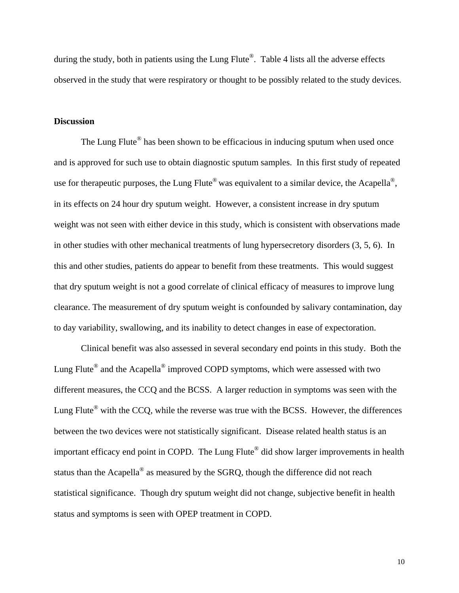during the study, both in patients using the Lung Flute<sup>®</sup>. Table 4 lists all the adverse effects observed in the study that were respiratory or thought to be possibly related to the study devices.

## **Discussion**

The Lung Flute<sup>®</sup> has been shown to be efficacious in inducing sputum when used once and is approved for such use to obtain diagnostic sputum samples. In this first study of repeated use for therapeutic purposes, the Lung Flute<sup>®</sup> was equivalent to a similar device, the Acapella<sup>®</sup>, in its effects on 24 hour dry sputum weight. However, a consistent increase in dry sputum weight was not seen with either device in this study, which is consistent with observations made in other studies with other mechanical treatments of lung hypersecretory disorders (3, 5, 6). In this and other studies, patients do appear to benefit from these treatments. This would suggest that dry sputum weight is not a good correlate of clinical efficacy of measures to improve lung clearance. The measurement of dry sputum weight is confounded by salivary contamination, day to day variability, swallowing, and its inability to detect changes in ease of expectoration.

Clinical benefit was also assessed in several secondary end points in this study. Both the Lung Flute® and the Acapella® improved COPD symptoms, which were assessed with two different measures, the CCQ and the BCSS. A larger reduction in symptoms was seen with the Lung Flute<sup>®</sup> with the CCQ, while the reverse was true with the BCSS. However, the differences between the two devices were not statistically significant. Disease related health status is an important efficacy end point in COPD. The Lung Flute® did show larger improvements in health status than the Acapella® as measured by the SGRQ, though the difference did not reach statistical significance. Though dry sputum weight did not change, subjective benefit in health status and symptoms is seen with OPEP treatment in COPD.

10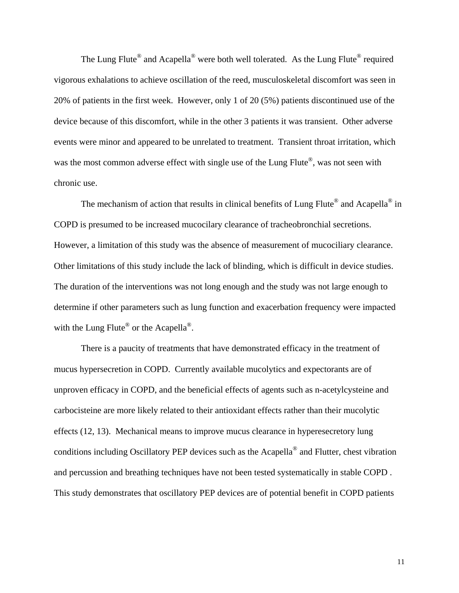The Lung Flute<sup>®</sup> and Acapella<sup>®</sup> were both well tolerated. As the Lung Flute<sup>®</sup> required vigorous exhalations to achieve oscillation of the reed, musculoskeletal discomfort was seen in 20% of patients in the first week. However, only 1 of 20 (5%) patients discontinued use of the device because of this discomfort, while in the other 3 patients it was transient. Other adverse events were minor and appeared to be unrelated to treatment. Transient throat irritation, which was the most common adverse effect with single use of the Lung Flute<sup>®</sup>, was not seen with chronic use.

The mechanism of action that results in clinical benefits of Lung Flute<sup>®</sup> and Acapella<sup>®</sup> in COPD is presumed to be increased mucocilary clearance of tracheobronchial secretions. However, a limitation of this study was the absence of measurement of mucociliary clearance. Other limitations of this study include the lack of blinding, which is difficult in device studies. The duration of the interventions was not long enough and the study was not large enough to determine if other parameters such as lung function and exacerbation frequency were impacted with the Lung Flute<sup>®</sup> or the Acapella<sup>®</sup>.

There is a paucity of treatments that have demonstrated efficacy in the treatment of mucus hypersecretion in COPD. Currently available mucolytics and expectorants are of unproven efficacy in COPD, and the beneficial effects of agents such as n-acetylcysteine and carbocisteine are more likely related to their antioxidant effects rather than their mucolytic effects (12, 13). Mechanical means to improve mucus clearance in hyperesecretory lung conditions including Oscillatory PEP devices such as the Acapella® and Flutter, chest vibration and percussion and breathing techniques have not been tested systematically in stable COPD . This study demonstrates that oscillatory PEP devices are of potential benefit in COPD patients

11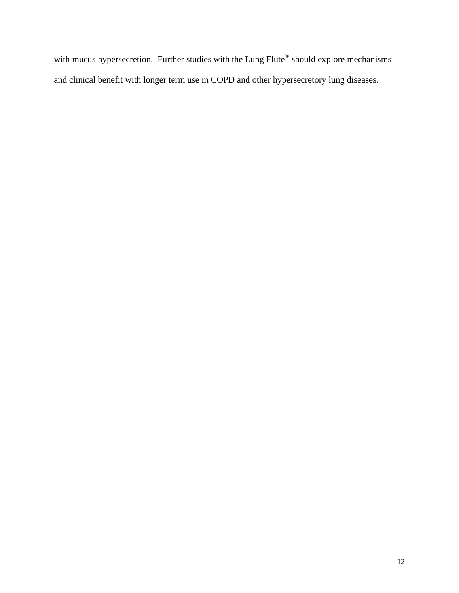with mucus hypersecretion. Further studies with the Lung Flute® should explore mechanisms and clinical benefit with longer term use in COPD and other hypersecretory lung diseases.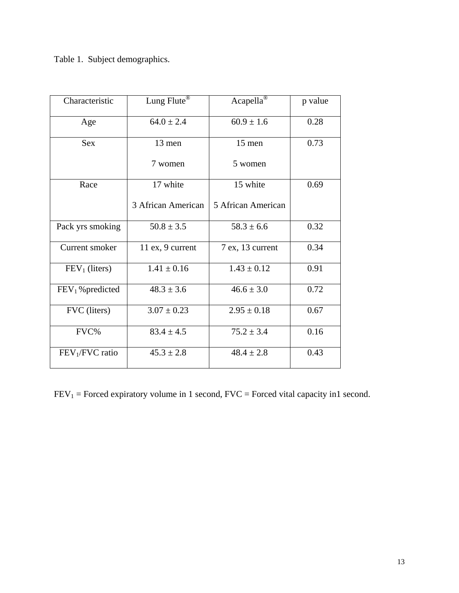Table 1. Subject demographics.

| Characteristic               | Lung Flute <sup>®</sup> | Acapella <sup>®</sup> | p value |
|------------------------------|-------------------------|-----------------------|---------|
| Age                          | $64.0 \pm 2.4$          | $60.9 \pm 1.6$        | 0.28    |
| <b>Sex</b>                   | 13 men                  | 15 men                | 0.73    |
|                              | 7 women                 | 5 women               |         |
| Race                         | 17 white                | 15 white              | 0.69    |
|                              | 3 African American      | 5 African American    |         |
| Pack yrs smoking             | $50.8 \pm 3.5$          | $58.3 \pm 6.6$        | 0.32    |
| Current smoker               | 11 ex, 9 current        | 7 ex, 13 current      | 0.34    |
| $FEV1$ (liters)              | $1.41 \pm 0.16$         | $1.43 \pm 0.12$       | 0.91    |
| FEV <sub>1</sub> % predicted | $48.3 \pm 3.6$          | $46.6 \pm 3.0$        | 0.72    |
| FVC (liters)                 | $3.07 \pm 0.23$         | $2.95 \pm 0.18$       | 0.67    |
| FVC%                         | $83.4 \pm 4.5$          | $75.2 \pm 3.4$        | 0.16    |
| $FEV1/FVC$ ratio             | $45.3 \pm 2.8$          | $48.4 \pm 2.8$        | 0.43    |

 $FEV<sub>1</sub> = Forced\t expiratory volume in 1 second, FVC = Forced\tvital capacity in 1 second.$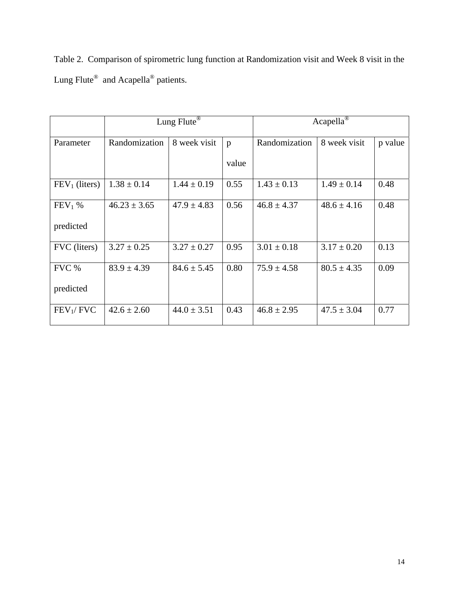|                                                             | Table 2. Comparison of spirometric lung function at Randomization visit and Week 8 visit in the |  |  |
|-------------------------------------------------------------|-------------------------------------------------------------------------------------------------|--|--|
| Lung Flute <sup>®</sup> and Acapella <sup>®</sup> patients. |                                                                                                 |  |  |

|                       |                  | Lung Flute <sup>®</sup> |       | $Acapella^{\circledR}$ |                 |         |  |
|-----------------------|------------------|-------------------------|-------|------------------------|-----------------|---------|--|
| Parameter             | Randomization    | 8 week visit            | p     | Randomization          | 8 week visit    | p value |  |
|                       |                  |                         | value |                        |                 |         |  |
| $FEV1$ (liters)       | $1.38 \pm 0.14$  | $1.44 \pm 0.19$         | 0.55  | $1.43 \pm 0.13$        | $1.49 \pm 0.14$ | 0.48    |  |
| $FEV1$ %              | $46.23 \pm 3.65$ | $47.9 \pm 4.83$         | 0.56  | $46.8 \pm 4.37$        | $48.6 \pm 4.16$ | 0.48    |  |
| predicted             |                  |                         |       |                        |                 |         |  |
| FVC (liters)          | $3.27 \pm 0.25$  | $3.27 \pm 0.27$         | 0.95  | $3.01 \pm 0.18$        | $3.17 \pm 0.20$ | 0.13    |  |
| FVC %                 | $83.9 \pm 4.39$  | $84.6 \pm 5.45$         | 0.80  | $75.9 \pm 4.58$        | $80.5 \pm 4.35$ | 0.09    |  |
| predicted             |                  |                         |       |                        |                 |         |  |
| FEV <sub>1</sub> /FVC | $42.6 \pm 2.60$  | $44.0 \pm 3.51$         | 0.43  | $46.8 \pm 2.95$        | $47.5 \pm 3.04$ | 0.77    |  |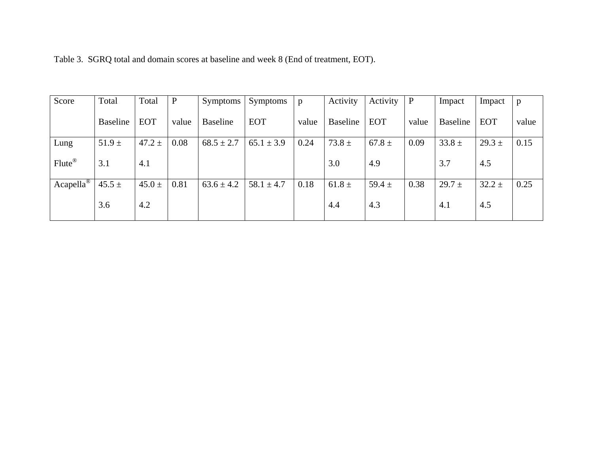| Score                  | Total           | Total      | $\mathbf{P}$ | Symptoms        | Symptoms       | p     | Activity   | Activity   | $\mathbf{P}$ | Impact          | Impact     | $\mathbf{p}$ |
|------------------------|-----------------|------------|--------------|-----------------|----------------|-------|------------|------------|--------------|-----------------|------------|--------------|
|                        | <b>Baseline</b> | <b>EOT</b> | value        | <b>Baseline</b> | <b>EOT</b>     | value | Baseline   | <b>EOT</b> | value        | <b>Baseline</b> | <b>EOT</b> | value        |
| Lung                   | $51.9 \pm$      | $47.2 \pm$ | 0.08         | $68.5 \pm 2.7$  | $65.1 \pm 3.9$ | 0.24  | $73.8 \pm$ | $67.8 \pm$ | 0.09         | $33.8 \pm$      | $29.3 \pm$ | 0.15         |
| Flute®                 | 3.1             | 4.1        |              |                 |                |       | 3.0        | 4.9        |              | 3.7             | 4.5        |              |
| $Acapella^{\circledR}$ | $45.5 \pm$      | $45.0 \pm$ | 0.81         | $63.6 \pm 4.2$  | $58.1 \pm 4.7$ | 0.18  | $61.8 \pm$ | 59.4 $\pm$ | 0.38         | $29.7 \pm$      | $32.2 \pm$ | 0.25         |
|                        | 3.6             | 4.2        |              |                 |                |       | 4.4        | 4.3        |              | 4.1             | 4.5        |              |

Table 3. SGRQ total and domain scores at baseline and week 8 (End of treatment, EOT).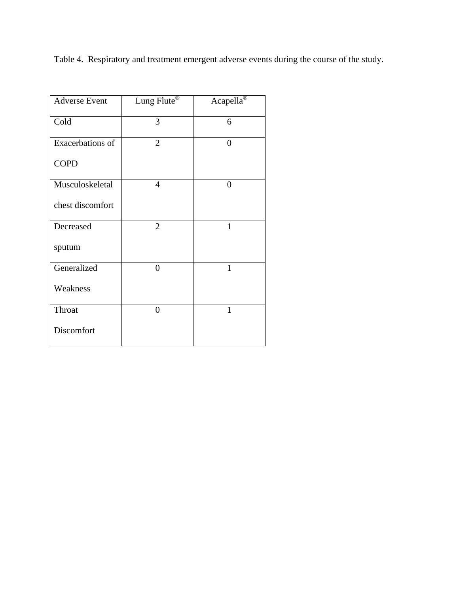Table 4. Respiratory and treatment emergent adverse events during the course of the study.

| <b>Adverse Event</b> | Lung Flute®    | Acapella <sup>®</sup> |
|----------------------|----------------|-----------------------|
| Cold                 | 3              | 6                     |
| Exacerbations of     | $\overline{2}$ | $\overline{0}$        |
| <b>COPD</b>          |                |                       |
| Musculoskeletal      | $\overline{4}$ | $\overline{0}$        |
| chest discomfort     |                |                       |
| Decreased            | $\overline{2}$ | $\mathbf{1}$          |
| sputum               |                |                       |
| Generalized          | $\overline{0}$ | 1                     |
| Weakness             |                |                       |
| Throat               | $\overline{0}$ | $\mathbf{1}$          |
| Discomfort           |                |                       |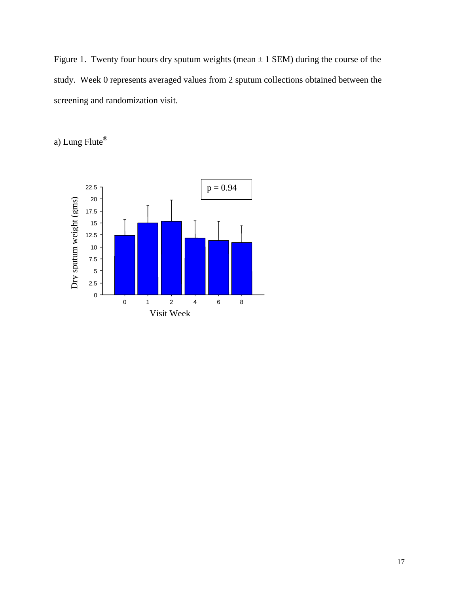Figure 1. Twenty four hours dry sputum weights (mean  $\pm$  1 SEM) during the course of the study. Week 0 represents averaged values from 2 sputum collections obtained between the screening and randomization visit.

a) Lung Flute®

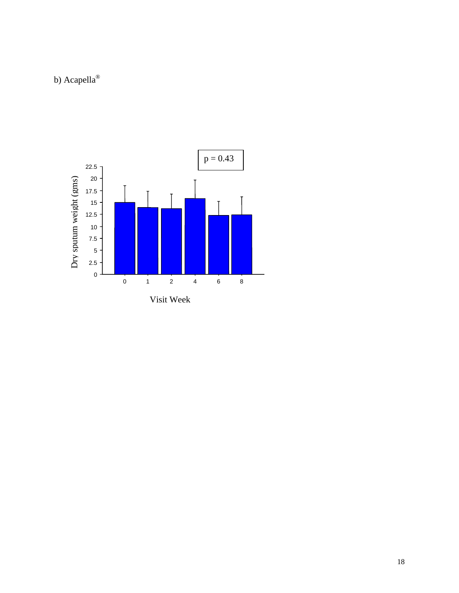# b) Acapella<sup>®</sup>

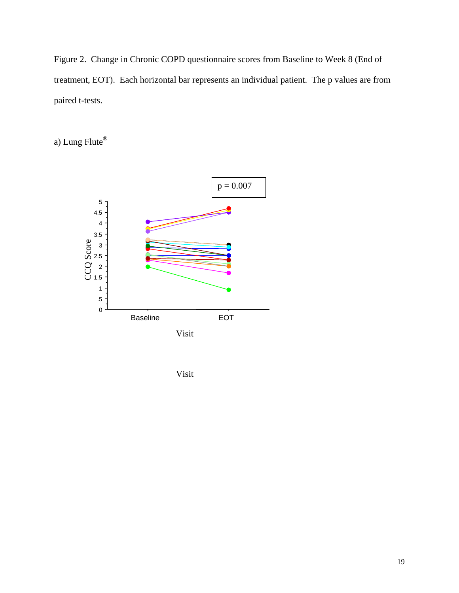Figure 2. Change in Chronic COPD questionnaire scores from Baseline to Week 8 (End of treatment, EOT). Each horizontal bar represents an individual patient. The p values are from paired t-tests.

a) Lung Flute®



Visit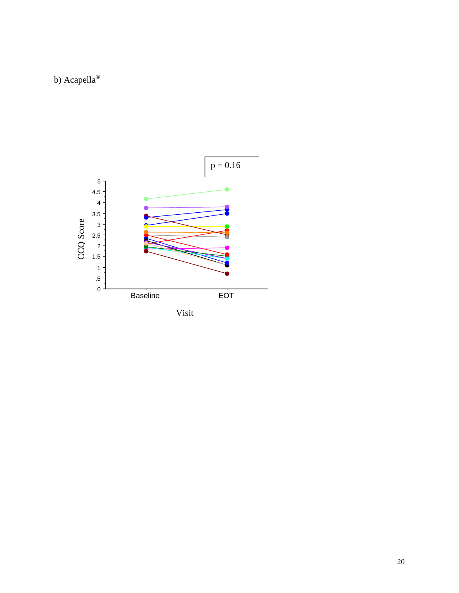# b) Acapella<sup>®</sup>